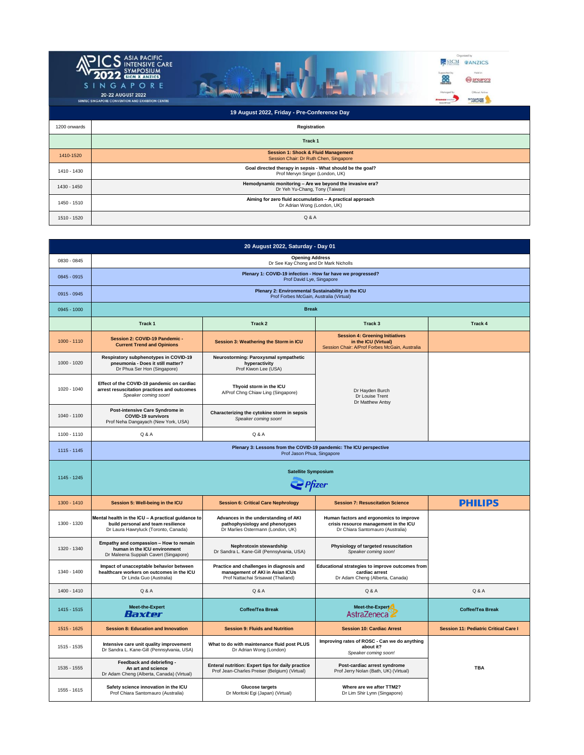

| <b>IZUU ONWARDS</b> | Registration                                                                                  |
|---------------------|-----------------------------------------------------------------------------------------------|
|                     | Track 1                                                                                       |
| 1410-1520           | <b>Session 1: Shock &amp; Fluid Management</b><br>Session Chair: Dr Ruth Chen, Singapore      |
| 1410 - 1430         | Goal directed therapy in sepsis - What should be the goal?<br>Prof Mervyn Singer (London, UK) |
| 1430 - 1450         | Hemodynamic monitoring - Are we beyond the invasive era?<br>Dr Yeh Yu-Chang, Tony (Taiwan)    |
| 1450 - 1510         | Aiming for zero fluid accumulation - A practical approach<br>Dr Adrian Wong (London, UK)      |
| 1510 - 1520         | Q & A                                                                                         |

| 20 August 2022, Saturday - Day 01 |                                                                                                                                  |                                                                                                                   |                                                                                                                      |                                              |
|-----------------------------------|----------------------------------------------------------------------------------------------------------------------------------|-------------------------------------------------------------------------------------------------------------------|----------------------------------------------------------------------------------------------------------------------|----------------------------------------------|
| 0830 - 0845                       | <b>Opening Address</b><br>Dr See Kay Chong and Dr Mark Nicholls                                                                  |                                                                                                                   |                                                                                                                      |                                              |
| 0845 - 0915                       | Plenary 1: COVID-19 infection - How far have we progressed?<br>Prof David Lye, Singapore                                         |                                                                                                                   |                                                                                                                      |                                              |
| 0915 - 0945                       | Plenary 2: Environmental Sustainability in the ICU<br>Prof Forbes McGain, Australia (Virtual)                                    |                                                                                                                   |                                                                                                                      |                                              |
| 0945 - 1000                       | <b>Break</b>                                                                                                                     |                                                                                                                   |                                                                                                                      |                                              |
|                                   | Track 1<br>Track 2<br>Track 3                                                                                                    |                                                                                                                   |                                                                                                                      | Track 4                                      |
| 1000 - 1110                       | Session 2: COVID-19 Pandemic -<br><b>Current Trend and Opinions</b>                                                              | Session 3: Weathering the Storm in ICU                                                                            | <b>Session 4: Greening Initiatives</b><br>in the ICU (Virtual)<br>Session Chair: A/Prof Forbes McGain, Australia     |                                              |
| $1000 - 1020$                     | Respiratory subphenotypes in COVID-19<br>pneumonia - Does it still matter?<br>Dr Phua Ser Hon (Singapore)                        | Neurostorming: Paroxysmal sympathetic<br>hyperactivity<br>Prof Kiwon Lee (USA)                                    | Dr Hayden Burch<br>Dr Louise Trent<br>Dr Matthew Antsy                                                               |                                              |
| 1020 - 1040                       | Effect of the COVID-19 pandemic on cardiac<br>arrest resuscitation practices and outcomes<br>Speaker coming soon!                | Thyoid storm in the ICU<br>A/Prof Chng Chiaw Ling (Singapore)                                                     |                                                                                                                      |                                              |
| 1040 - 1100                       | Post-intensive Care Syndrome in<br><b>COVID-19 survivors</b><br>Prof Neha Dangayach (New York, USA)                              | Characterizing the cytokine storm in sepsis<br>Speaker coming soon!                                               |                                                                                                                      |                                              |
| 1100 - 1110                       | Q & A                                                                                                                            | Q & A                                                                                                             |                                                                                                                      |                                              |
| $1115 - 1145$                     | Plenary 3: Lessons from the COVID-19 pandemic: The ICU perspective<br>Prof Jason Phua, Singapore                                 |                                                                                                                   |                                                                                                                      |                                              |
| 1145 - 1245                       | <b>Satellite Symposium</b><br><b>P</b> fizer                                                                                     |                                                                                                                   |                                                                                                                      |                                              |
| 1300 - 1410                       | Session 5: Well-being in the ICU                                                                                                 | <b>Session 6: Critical Care Nephrology</b>                                                                        | <b>Session 7: Resuscitation Science</b>                                                                              | <b>PHILIPS</b>                               |
| 1300 - 1320                       | Mental health in the ICU - A practical guidance to<br>build personal and team resilience<br>Dr Laura Hawryluck (Toronto, Canada) | Advances in the understanding of AKI<br>pathophysiology and phenotypes<br>Dr Marlies Ostermann (London, UK)       | Human factors and ergonomics to improve<br>crisis resource management in the ICU<br>Dr Chiara Santomauro (Australia) |                                              |
| 1320 - 1340                       | Empathy and compassion - How to remain<br>human in the ICU environment<br>Dr Maleena Suppiah Cavert (Singapore)                  | Nephrotoxin stewardship<br>Dr Sandra L. Kane-Gill (Pennsylvania, USA)                                             |                                                                                                                      |                                              |
|                                   |                                                                                                                                  |                                                                                                                   | Physiology of targeted resuscitation<br>Speaker coming soon!                                                         |                                              |
| 1340 - 1400                       | Impact of unacceptable behavior between<br>healthcare workers on outcomes in the ICU<br>Dr Linda Guo (Australia)                 | Practice and challenges in diagnosis and<br>management of AKI in Asian ICUs<br>Prof Nattachai Srisawat (Thailand) | Educational strategies to improve outcomes from<br>cardiac arrest<br>Dr Adam Cheng (Alberta, Canada)                 |                                              |
| 1400 - 1410                       | Q & A                                                                                                                            | Q & A                                                                                                             | Q & A                                                                                                                | Q & A                                        |
| 1415 - 1515                       | <b>Meet-the-Expert</b><br>Baxter                                                                                                 | <b>Coffee/Tea Break</b>                                                                                           | Meet-the-Expert<br>AstraZeneca                                                                                       | <b>Coffee/Tea Break</b>                      |
| 1515 - 1625                       | <b>Session 8: Education and Innovation</b>                                                                                       | <b>Session 9: Fluids and Nutrition</b>                                                                            | <b>Session 10: Cardiac Arrest</b>                                                                                    | <b>Session 11: Pediatric Critical Care I</b> |
| 1515 - 1535                       | Intensive care unit quality improvement<br>Dr Sandra L. Kane-Gill (Pennsylvania, USA)                                            | What to do with maintenance fluid post PLUS<br>Dr Adrian Wong (London)                                            | Improving rates of ROSC - Can we do anything<br>about it?<br>Speaker coming soon!                                    |                                              |
| 1535 - 1555                       | Feedback and debriefing -<br>An art and science<br>Dr Adam Cheng (Alberta, Canada) (Virtual)                                     | Enteral nutrition: Expert tips for daily practice<br>Prof Jean-Charles Preiser (Belgium) (Virtual)                | Post-cardiac arrest syndrome<br>Prof Jerry Nolan (Bath, UK) (Virtual)                                                | <b>TBA</b>                                   |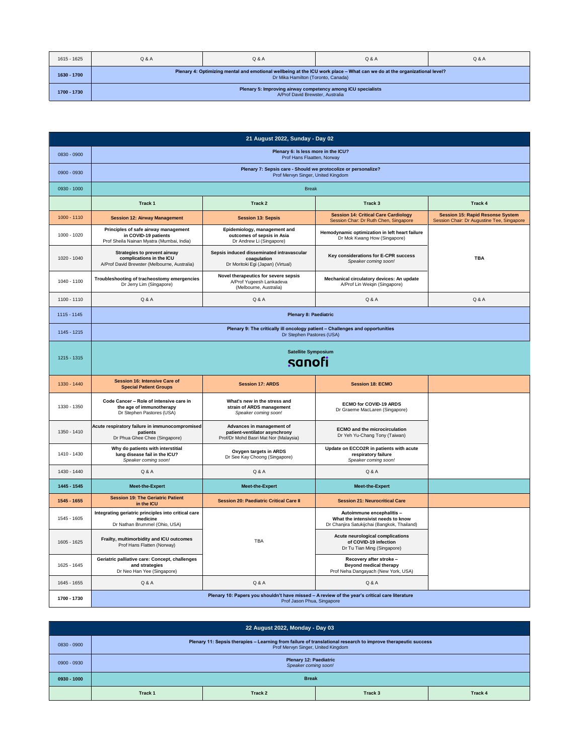| 1615 - 1625 | Q & A                                                                                                                                                          | Q & A | Q & A | Q & A |
|-------------|----------------------------------------------------------------------------------------------------------------------------------------------------------------|-------|-------|-------|
| 1630 - 1700 | Plenary 4: Optimizing mental and emotional wellbeing at the ICU work place - What can we do at the organizational level?<br>Dr Mika Hamilton (Toronto, Canada) |       |       |       |
| 1700 - 1730 | Plenary 5: Improving airway competency among ICU specialists<br>A/Prof David Brewster, Australia                                                               |       |       |       |

| 21 August 2022, Sunday - Day 02 |                                                                                                            |                                                                                                                              |                                                                                                                |                                                                                       |
|---------------------------------|------------------------------------------------------------------------------------------------------------|------------------------------------------------------------------------------------------------------------------------------|----------------------------------------------------------------------------------------------------------------|---------------------------------------------------------------------------------------|
| 0830 - 0900                     | Plenary 6: Is less more in the ICU?<br>Prof Hans Flaatten, Norway                                          |                                                                                                                              |                                                                                                                |                                                                                       |
| 0900 - 0930                     | Plenary 7: Sepsis care - Should we protocolize or personalize?<br>Prof Mervyn Singer, United Kingdom       |                                                                                                                              |                                                                                                                |                                                                                       |
| 0930 - 1000                     |                                                                                                            | <b>Break</b>                                                                                                                 |                                                                                                                |                                                                                       |
|                                 | Track <sub>1</sub>                                                                                         | Track <sub>2</sub>                                                                                                           | Track <sub>3</sub>                                                                                             | Track 4                                                                               |
| $1000 - 1110$                   | <b>Session 12: Airway Management</b>                                                                       | <b>Session 13: Sepsis</b>                                                                                                    | <b>Session 14: Critical Care Cardiology</b><br>Session Char: Dr Ruth Chen, Singapore                           | <b>Session 15: Rapid Resonse System</b><br>Session Chair: Dr Augustine Tee, Singapore |
| $1000 - 1020$                   | Principles of safe airway management<br>in COVID-19 patients<br>Prof Sheila Nainan Myatra (Mumbai, India)  | Epidemiology, management and<br>outcomes of sepsis in Asia<br>Dr Andrew Li (Singapore)                                       | Hemodynamic optimization in left heart failure<br>Dr Mok Kwang How (Singapore)                                 |                                                                                       |
| 1020 - 1040                     | Strategies to prevent airway<br>complications in the ICU<br>A/Prof David Brewster (Melbourne, Australia)   | Sepsis induced disseminated intravascular<br>coagulation<br>Dr Moritoki Egi (Japan) (Virtual)                                | Key considerations for E-CPR success<br>Speaker coming soon!                                                   | <b>TBA</b>                                                                            |
| 1040 - 1100                     | Troubleshooting of tracheostomy emergencies<br>Dr Jerry Lim (Singapore)                                    | Novel therapeutics for severe sepsis<br>A/Prof Yugeesh Lankadeva<br>(Melbourne, Australia)                                   | Mechanical circulatory devices: An update<br>A/Prof Lin Weiqin (Singapore)                                     |                                                                                       |
| 1100 - 1110                     | Q & A                                                                                                      | Q & A                                                                                                                        | Q & A                                                                                                          | Q & A                                                                                 |
| 1115 - 1145                     |                                                                                                            | <b>Plenary 8: Paediatric</b>                                                                                                 |                                                                                                                |                                                                                       |
| 1145 - 1215                     | Plenary 9: The critically ill oncology patient - Challenges and opportunities<br>Dr Stephen Pastores (USA) |                                                                                                                              |                                                                                                                |                                                                                       |
| 1215 - 1315                     | <b>Satellite Symposium</b><br>sanofi                                                                       |                                                                                                                              |                                                                                                                |                                                                                       |
| 1330 - 1440                     | <b>Session 16: Intensive Care of</b><br><b>Special Patient Groups</b>                                      | <b>Session 17: ARDS</b>                                                                                                      | <b>Session 18: ECMO</b>                                                                                        |                                                                                       |
| 1330 - 1350                     | Code Cancer - Role of intensive care in<br>the age of immunotherapy<br>Dr Stephen Pastores (USA)           | What's new in the stress and<br>strain of ARDS management<br>Speaker coming soon!                                            | <b>ECMO for COVID-19 ARDS</b><br>Dr Graeme MacLaren (Singapore)                                                |                                                                                       |
| 1350 - 1410                     | Acute respiratory failure in immunocompromised<br>patients<br>Dr Phua Ghee Chee (Singapore)                | Advances in management of<br>patient-ventilator asynchrony<br>Prof/Dr Mohd Basri Mat Nor (Malaysia)                          | <b>ECMO</b> and the microcirculation<br>Dr Yeh Yu-Chang Tony (Taiwan)                                          |                                                                                       |
| 1410 - 1430                     | Why do patients with interstitial<br>lung disease fail in the ICU?<br>Speaker coming soon!                 | Oxygen targets in ARDS<br>Dr See Kay Choong (Singapore)                                                                      | Update on ECCO2R in patients with acute<br>respiratory failure<br>Speaker coming soon!                         |                                                                                       |
| 1430 - 1440                     | Q & A                                                                                                      | Q & A                                                                                                                        | Q & A                                                                                                          |                                                                                       |
| 1445 - 1545                     | Meet-the-Expert                                                                                            | <b>Meet-the-Expert</b>                                                                                                       | Meet-the-Expert                                                                                                |                                                                                       |
| 1545 - 1655                     | <b>Session 19: The Geriatric Patient</b><br>in the ICU                                                     | <b>Session 20: Paediatric Critical Care II</b>                                                                               | <b>Session 21: Neurocritical Care</b>                                                                          |                                                                                       |
| 1545 - 1605                     | Integrating geriatric principles into critical care<br>medicine<br>Dr Nathan Brummel (Ohio, USA)           |                                                                                                                              | Autoimmune encephalitis -<br>What the intensivist needs to know<br>Dr Chanjira Satukijchai (Bangkok, Thailand) |                                                                                       |
| 1605 - 1625                     | Frailty, multimorbidity and ICU outcomes<br>Prof Hans Flatten (Norway)                                     | TBA                                                                                                                          | Acute neurological complications<br>of COVID-19 infection<br>Dr Tu Tian Ming (Singapore)                       |                                                                                       |
| 1625 - 1645                     | Geriatric palliative care: Concept, challenges<br>and strategies<br>Dr Neo Han Yee (Singapore)             |                                                                                                                              | Recovery after stroke -<br><b>Beyond medical therapy</b><br>Prof Neha Dangayach (New York, USA)                |                                                                                       |
| 1645 - 1655                     | Q & A                                                                                                      | Q & A                                                                                                                        | Q & A                                                                                                          |                                                                                       |
| 1700 - 1730                     |                                                                                                            | Plenary 10: Papers you shouldn't have missed - A review of the year's critical care literature<br>Prof Jason Phua, Singapore |                                                                                                                |                                                                                       |

| 22 August 2022, Monday - Day 03 |                                                                                                                                                     |         |         |         |
|---------------------------------|-----------------------------------------------------------------------------------------------------------------------------------------------------|---------|---------|---------|
| 0830 - 0900                     | Plenary 11: Sepsis therapies - Learning from failure of translational research to improve therapeutic success<br>Prof Mervyn Singer, United Kingdom |         |         |         |
| 0900 - 0930                     | <b>Plenary 12: Paediatric</b><br>Speaker coming soon!                                                                                               |         |         |         |
| $0930 - 1000$                   | <b>Break</b>                                                                                                                                        |         |         |         |
|                                 | Track 1                                                                                                                                             | Track 2 | Track 3 | Track 4 |